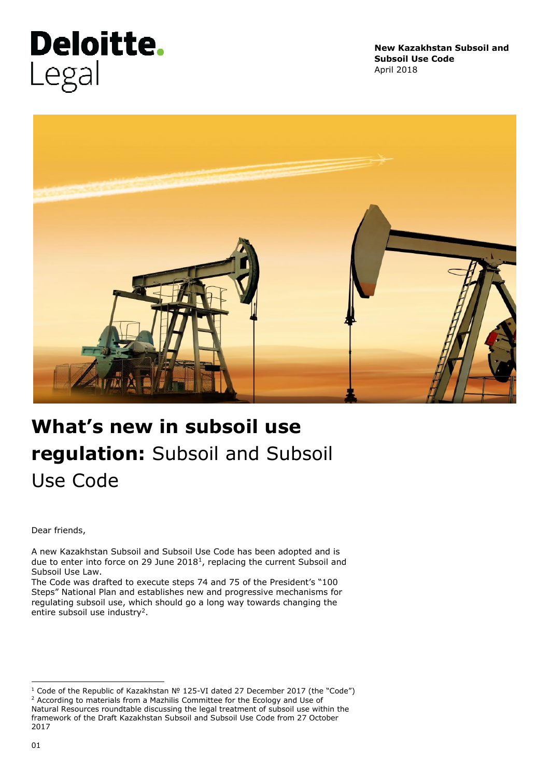# **Deloitte.** Legal

**New Kazakhstan Subsoil and Subsoil Use Code** April 2018



# **What's new in subsoil use regulation:** Subsoil and Subsoil Use Code

Dear friends,

A new Kazakhstan Subsoil and Subsoil Use Code has been adopted and is due to enter into force on 29 June  $2018<sup>1</sup>$ , replacing the current Subsoil and Subsoil Use Law.

The Code was drafted to execute steps 74 and 75 of the President's "100 Steps" National Plan and establishes new and progressive mechanisms for regulating subsoil use, which should go a long way towards changing the entire subsoil use industry<sup>2</sup>.

ł <sup>1</sup> Code of the Republic of Kazakhstan № 125-VI dated 27 December 2017 (the "Code") <sup>2</sup> According to materials from a Mazhilis Committee for the Ecology and Use of Natural Resources roundtable discussing the legal treatment of subsoil use within the framework of the Draft Kazakhstan Subsoil and Subsoil Use Code from 27 October 2017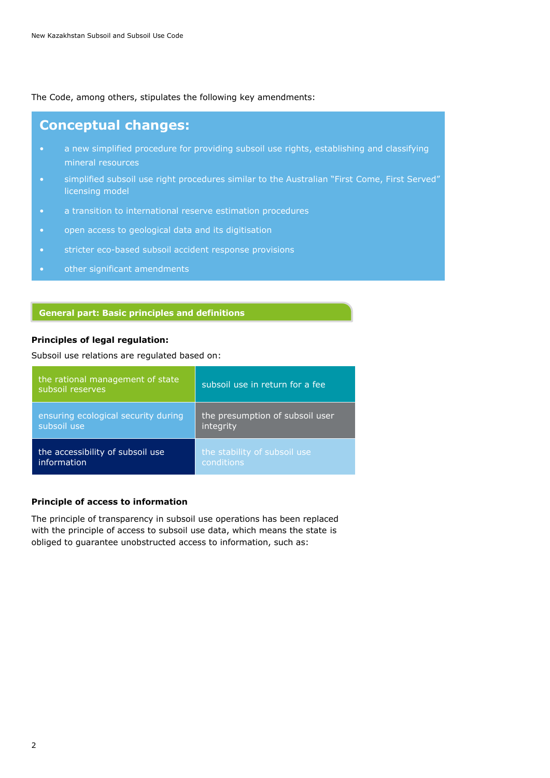The Code, among others, stipulates the following key amendments:

### **Conceptual changes:**

- a new simplified procedure for providing subsoil use rights, establishing and classifying mineral resources
- simplified subsoil use right procedures similar to the Australian "First Come, First Served" licensing model
- a transition to international reserve estimation procedures
- open access to geological data and its digitisation
- stricter eco-based subsoil accident response provisions
- other significant amendments

#### **General part: Basic principles and definitions**

#### **Principles of legal regulation:**

Subsoil use relations are regulated based on:

| the rational management of state<br>subsoil reserves | subsoil use in return for a fee |
|------------------------------------------------------|---------------------------------|
| ensuring ecological security during                  | the presumption of subsoil user |
| subsoil use                                          | integrity                       |
| the accessibility of subsoil use                     | the stability of subsoil use    |
| information                                          | conditions                      |

#### **Principle of access to information**

The principle of transparency in subsoil use operations has been replaced with the principle of access to subsoil use data, which means the state is obliged to guarantee unobstructed access to information, such as: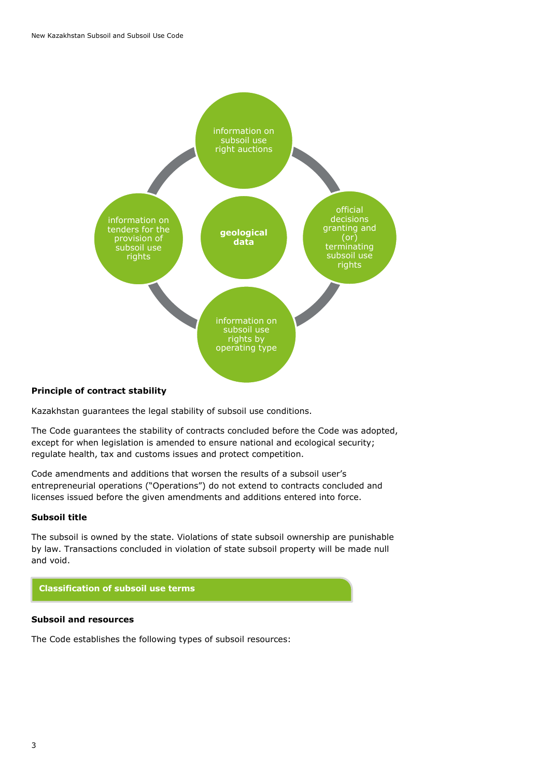

#### **Principle of contract stability**

Kazakhstan guarantees the legal stability of subsoil use conditions.

The Code guarantees the stability of contracts concluded before the Code was adopted, except for when legislation is amended to ensure national and ecological security; regulate health, tax and customs issues and protect competition.

Code amendments and additions that worsen the results of a subsoil user's entrepreneurial operations ("Operations") do not extend to contracts concluded and licenses issued before the given amendments and additions entered into force.

#### **Subsoil title**

The subsoil is owned by the state. Violations of state subsoil ownership are punishable by law. Transactions concluded in violation of state subsoil property will be made null and void.

#### **Classification of subsoil use terms**

#### **Subsoil and resources**

The Code establishes the following types of subsoil resources: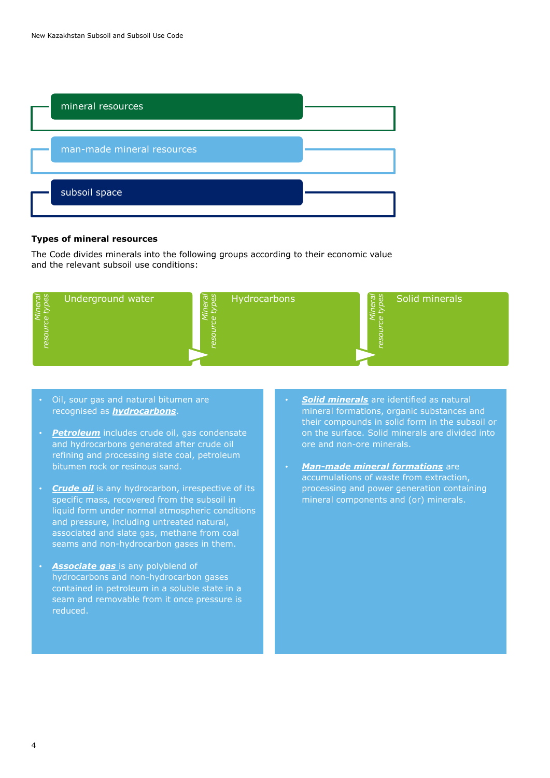

#### **Types of mineral resources**

The Code divides minerals into the following groups according to their economic value and the relevant subsoil use conditions:



- Oil, sour gas and natural bitumen are recognised as *hydrocarbons*.
- *Petroleum* includes crude oil, gas condensate and hydrocarbons generated after crude oil refining and processing slate coal, petroleum bitumen rock or resinous sand.
- *Crude oil* is any hydrocarbon, irrespective of its specific mass, recovered from the subsoil in liquid form under normal atmospheric conditions and pressure, including untreated natural, associated and slate gas, methane from coal seams and non-hydrocarbon gases in them.
- **Associate gas** is any polyblend of hydrocarbons and non-hydrocarbon gases contained in petroleum in a soluble state in a seam and removable from it once pressure is reduced.
- *Solid minerals* are identified as natural mineral formations, organic substances and their compounds in solid form in the subsoil or on the surface. Solid minerals are divided into ore and non-ore minerals.
- *Man-made mineral formations* are accumulations of waste from extraction, processing and power generation containing mineral components and (or) minerals.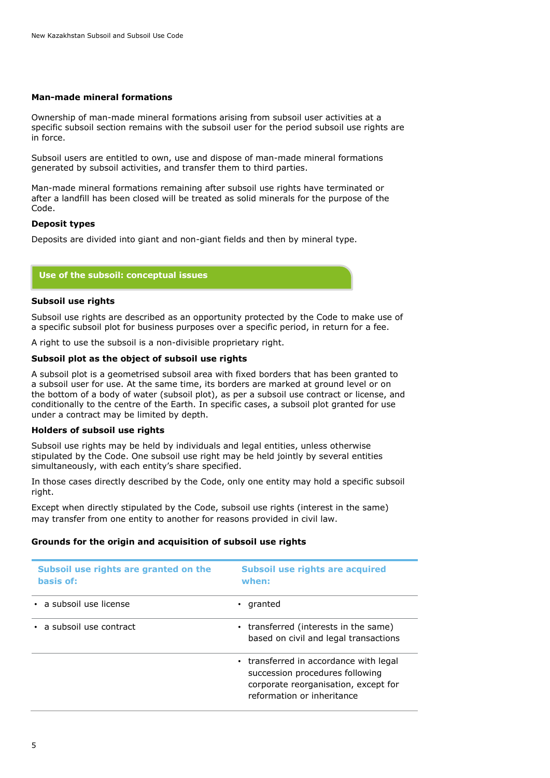#### **Man-made mineral formations**

Ownership of man-made mineral formations arising from subsoil user activities at a specific subsoil section remains with the subsoil user for the period subsoil use rights are in force.

Subsoil users are entitled to own, use and dispose of man-made mineral formations generated by subsoil activities, and transfer them to third parties.

Man-made mineral formations remaining after subsoil use rights have terminated or after a landfill has been closed will be treated as solid minerals for the purpose of the Code.

#### **Deposit types**

Deposits are divided into giant and non-giant fields and then by mineral type.

#### **Use of the subsoil: conceptual issues**

#### **Subsoil use rights**

Subsoil use rights are described as an opportunity protected by the Code to make use of a specific subsoil plot for business purposes over a specific period, in return for a fee.

A right to use the subsoil is a non-divisible proprietary right.

#### **Subsoil plot as the object of subsoil use rights**

A subsoil plot is a geometrised subsoil area with fixed borders that has been granted to a subsoil user for use. At the same time, its borders are marked at ground level or on the bottom of a body of water (subsoil plot), as per a subsoil use contract or license, and conditionally to the centre of the Earth. In specific cases, a subsoil plot granted for use under a contract may be limited by depth.

#### **Holders of subsoil use rights**

Subsoil use rights may be held by individuals and legal entities, unless otherwise stipulated by the Code. One subsoil use right may be held jointly by several entities simultaneously, with each entity's share specified.

In those cases directly described by the Code, only one entity may hold a specific subsoil right.

Except when directly stipulated by the Code, subsoil use rights (interest in the same) may transfer from one entity to another for reasons provided in civil law.

#### **Grounds for the origin and acquisition of subsoil use rights**

| Subsoil use rights are granted on the<br>basis of: | Subsoil use rights are acquired<br>when:                                                                                                        |
|----------------------------------------------------|-------------------------------------------------------------------------------------------------------------------------------------------------|
| · a subsoil use license                            | granted                                                                                                                                         |
| • a subsoil use contract                           | • transferred (interests in the same)<br>based on civil and legal transactions                                                                  |
|                                                    | • transferred in accordance with legal<br>succession procedures following<br>corporate reorganisation, except for<br>reformation or inheritance |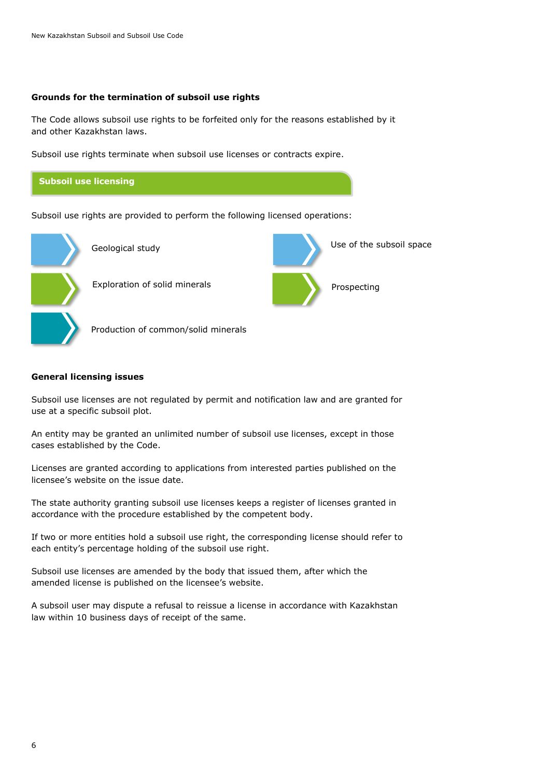#### **Grounds for the termination of subsoil use rights**

The Code allows subsoil use rights to be forfeited only for the reasons established by it and other Kazakhstan laws.

Use of the subsoil space

Prospecting

Subsoil use rights terminate when subsoil use licenses or contracts expire.



Subsoil use rights are provided to perform the following licensed operations:



Geological study



Production of common/solid minerals

#### **General licensing issues**

Subsoil use licenses are not regulated by permit and notification law and are granted for use at a specific subsoil plot.

An entity may be granted an unlimited number of subsoil use licenses, except in those cases established by the Code.

Licenses are granted according to applications from interested parties published on the licensee's website on the issue date.

The state authority granting subsoil use licenses keeps a register of licenses granted in accordance with the procedure established by the competent body.

If two or more entities hold a subsoil use right, the corresponding license should refer to each entity's percentage holding of the subsoil use right.

Subsoil use licenses are amended by the body that issued them, after which the amended license is published on the licensee's website.

A subsoil user may dispute a refusal to reissue a license in accordance with Kazakhstan law within 10 business days of receipt of the same.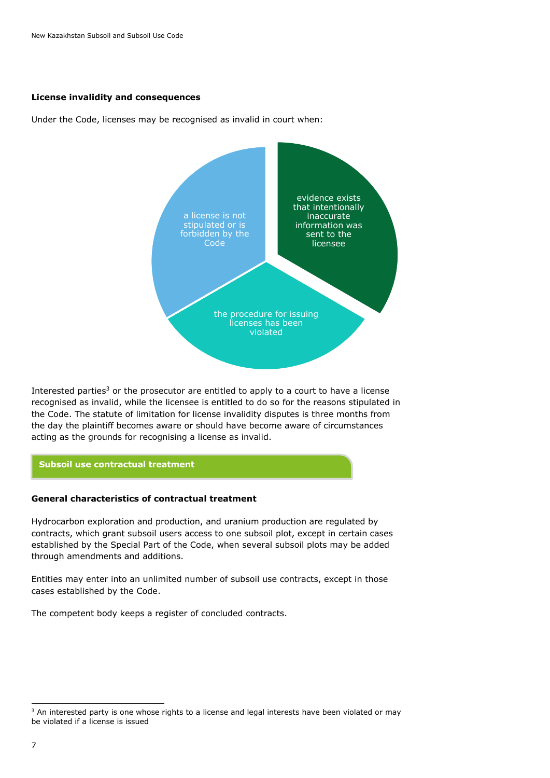#### **License invalidity and consequences**

Under the Code, licenses may be recognised as invalid in court when:



Interested parties<sup>3</sup> or the prosecutor are entitled to apply to a court to have a license recognised as invalid, while the licensee is entitled to do so for the reasons stipulated in the Code. The statute of limitation for license invalidity disputes is three months from the day the plaintiff becomes aware or should have become aware of circumstances acting as the grounds for recognising a license as invalid.

#### **Subsoil use contractual treatment**

#### **General characteristics of contractual treatment**

Hydrocarbon exploration and production, and uranium production are regulated by contracts, which grant subsoil users access to one subsoil plot, except in certain cases established by the Special Part of the Code, when several subsoil plots may be added through amendments and additions.

Entities may enter into an unlimited number of subsoil use contracts, except in those cases established by the Code.

The competent body keeps a register of concluded contracts.

ł

<sup>&</sup>lt;sup>3</sup> An interested party is one whose rights to a license and legal interests have been violated or may be violated if a license is issued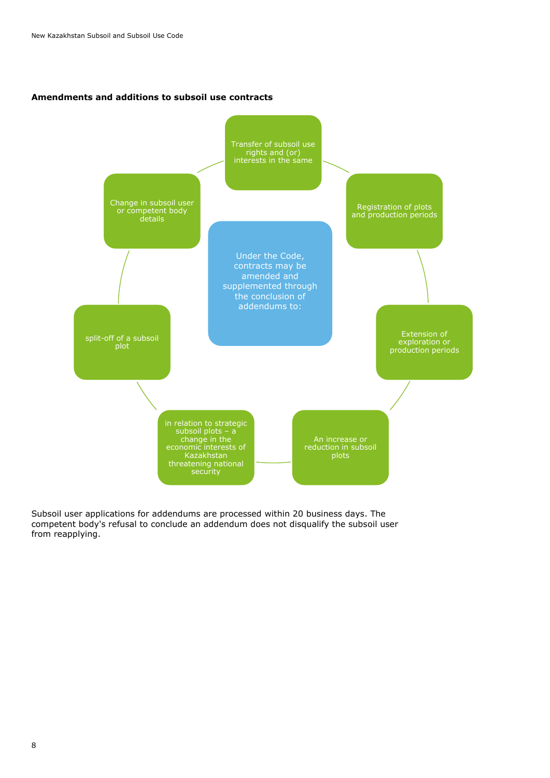#### **Amendments and additions to subsoil use contracts**



Subsoil user applications for addendums are processed within 20 business days. The competent body's refusal to conclude an addendum does not disqualify the subsoil user from reapplying.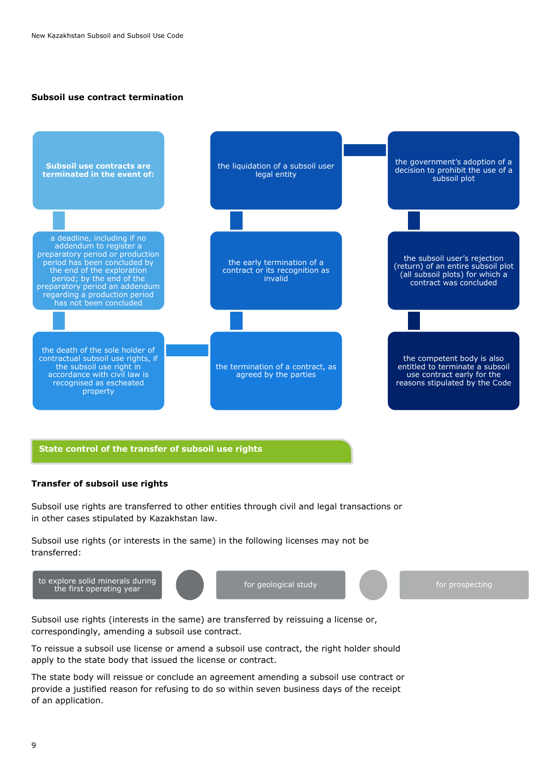#### **Subsoil use contract termination**



#### **State control of the transfer of subsoil use rights**

#### **Transfer of subsoil use rights**

Subsoil use rights are transferred to other entities through civil and legal transactions or in other cases stipulated by Kazakhstan law.

Subsoil use rights (or interests in the same) in the following licenses may not be transferred:



Subsoil use rights (interests in the same) are transferred by reissuing a license or, correspondingly, amending a subsoil use contract.

To reissue a subsoil use license or amend a subsoil use contract, the right holder should apply to the state body that issued the license or contract.

The state body will reissue or conclude an agreement amending a subsoil use contract or provide a justified reason for refusing to do so within seven business days of the receipt of an application.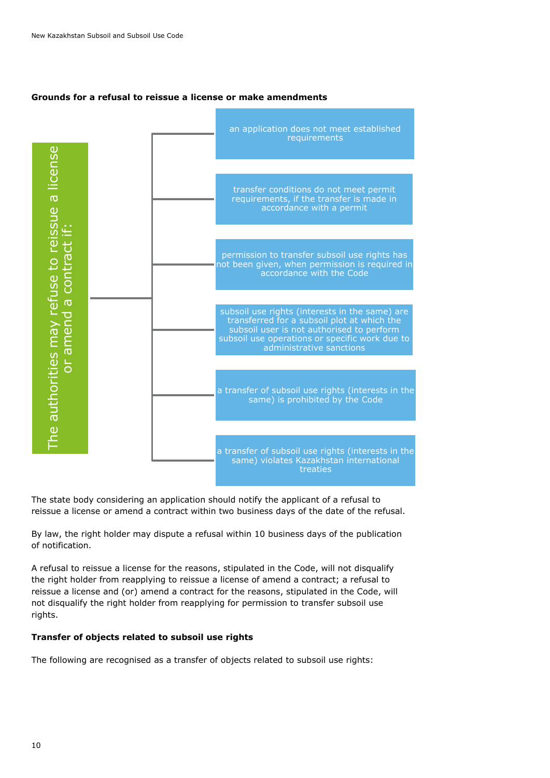#### **Grounds for a refusal to reissue a license or make amendments**



The state body considering an application should notify the applicant of a refusal to reissue a license or amend a contract within two business days of the date of the refusal.

By law, the right holder may dispute a refusal within 10 business days of the publication of notification.

A refusal to reissue a license for the reasons, stipulated in the Code, will not disqualify the right holder from reapplying to reissue a license of amend a contract; a refusal to reissue a license and (or) amend a contract for the reasons, stipulated in the Code, will not disqualify the right holder from reapplying for permission to transfer subsoil use rights.

#### **Transfer of objects related to subsoil use rights**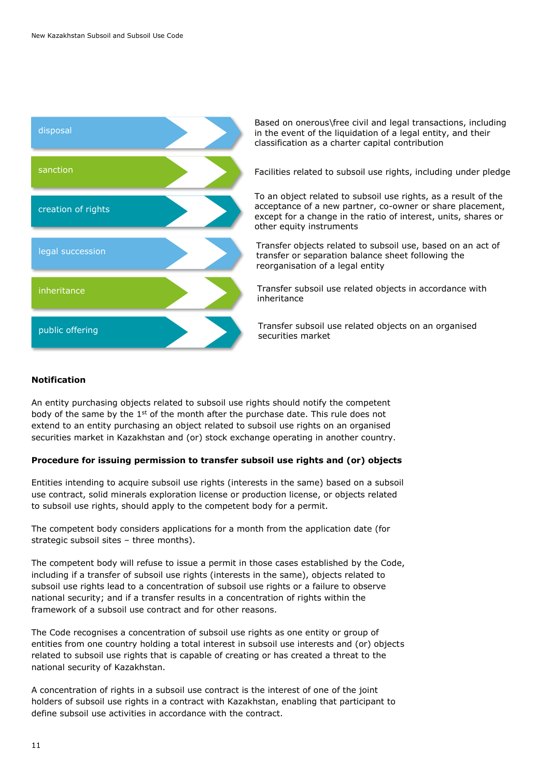

Based on onerous\free civil and legal transactions, including in the event of the liquidation of a legal entity, and their classification as a charter capital contribution

Facilities related to subsoil use rights, including under pledge

To an object related to subsoil use rights, as a result of the acceptance of a new partner, co-owner or share placement, except for a change in the ratio of interest, units, shares or other equity instruments

Transfer objects related to subsoil use, based on an act of transfer or separation balance sheet following the reorganisation of a legal entity

Transfer subsoil use related objects in accordance with inheritance

Transfer subsoil use related objects on an organised securities market

#### **Notification**

An entity purchasing objects related to subsoil use rights should notify the competent body of the same by the  $1<sup>st</sup>$  of the month after the purchase date. This rule does not extend to an entity purchasing an object related to subsoil use rights on an organised securities market in Kazakhstan and (or) stock exchange operating in another country.

#### **Procedure for issuing permission to transfer subsoil use rights and (or) objects**

Entities intending to acquire subsoil use rights (interests in the same) based on a subsoil use contract, solid minerals exploration license or production license, or objects related to subsoil use rights, should apply to the competent body for a permit.

The competent body considers applications for a month from the application date (for strategic subsoil sites – three months).

The competent body will refuse to issue a permit in those cases established by the Code, including if a transfer of subsoil use rights (interests in the same), objects related to subsoil use rights lead to a concentration of subsoil use rights or a failure to observe national security; and if a transfer results in a concentration of rights within the framework of a subsoil use contract and for other reasons.

The Code recognises a concentration of subsoil use rights as one entity or group of entities from one country holding a total interest in subsoil use interests and (or) objects related to subsoil use rights that is capable of creating or has created a threat to the national security of Kazakhstan.

A concentration of rights in a subsoil use contract is the interest of one of the joint holders of subsoil use rights in a contract with Kazakhstan, enabling that participant to define subsoil use activities in accordance with the contract.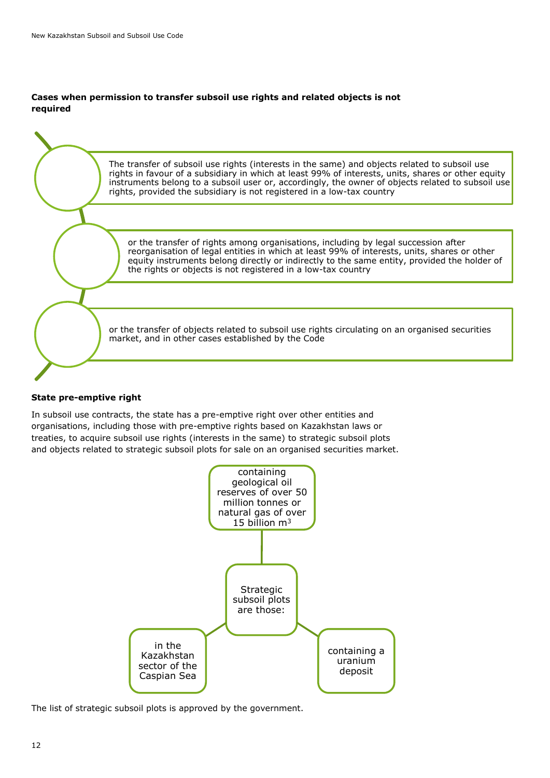#### **Cases when permission to transfer subsoil use rights and related objects is not required**



#### **State pre-emptive right**

In subsoil use contracts, the state has a pre-emptive right over other entities and organisations, including those with pre-emptive rights based on Kazakhstan laws or treaties, to acquire subsoil use rights (interests in the same) to strategic subsoil plots and objects related to strategic subsoil plots for sale on an organised securities market.



The list of strategic subsoil plots is approved by the government.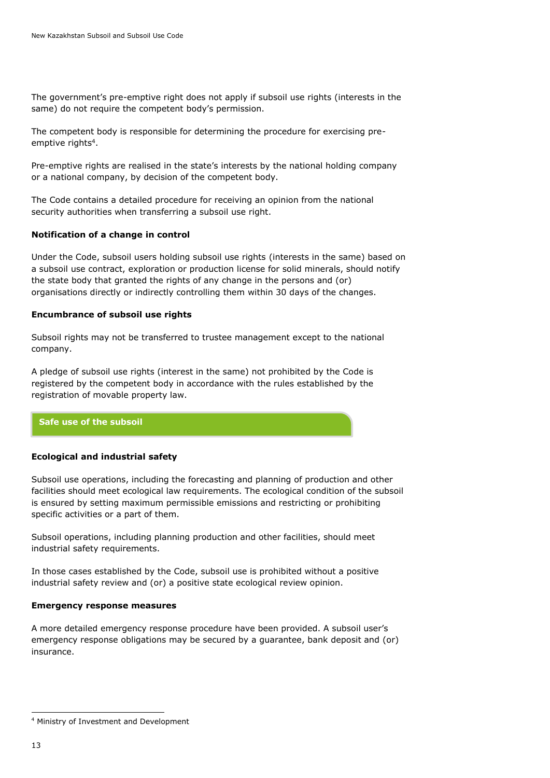The government's pre-emptive right does not apply if subsoil use rights (interests in the same) do not require the competent body's permission.

The competent body is responsible for determining the procedure for exercising preemptive rights<sup>4</sup>.

Pre-emptive rights are realised in the state's interests by the national holding company or a national company, by decision of the competent body.

The Code contains a detailed procedure for receiving an opinion from the national security authorities when transferring a subsoil use right.

#### **Notification of a change in control**

Under the Code, subsoil users holding subsoil use rights (interests in the same) based on a subsoil use contract, exploration or production license for solid minerals, should notify the state body that granted the rights of any change in the persons and (or) organisations directly or indirectly controlling them within 30 days of the changes.

#### **Encumbrance of subsoil use rights**

Subsoil rights may not be transferred to trustee management except to the national company.

A pledge of subsoil use rights (interest in the same) not prohibited by the Code is registered by the competent body in accordance with the rules established by the registration of movable property law.

#### <span id="page-12-0"></span>**[Safe use of the subsoil](#page-12-0)**

#### **Ecological and industrial safety**

Subsoil use operations, including the forecasting and planning of production and other facilities should meet ecological law requirements. The ecological condition of the subsoil is ensured by setting maximum permissible emissions and restricting or prohibiting specific activities or a part of them.

Subsoil operations, including planning production and other facilities, should meet industrial safety requirements.

In those cases established by the Code, subsoil use is prohibited without a positive industrial safety review and (or) a positive state ecological review opinion.

#### **Emergency response measures**

A more detailed emergency response procedure have been provided. A subsoil user's emergency response obligations may be secured by a guarantee, bank deposit and (or) insurance.

ł

<sup>4</sup> Ministry of Investment and Development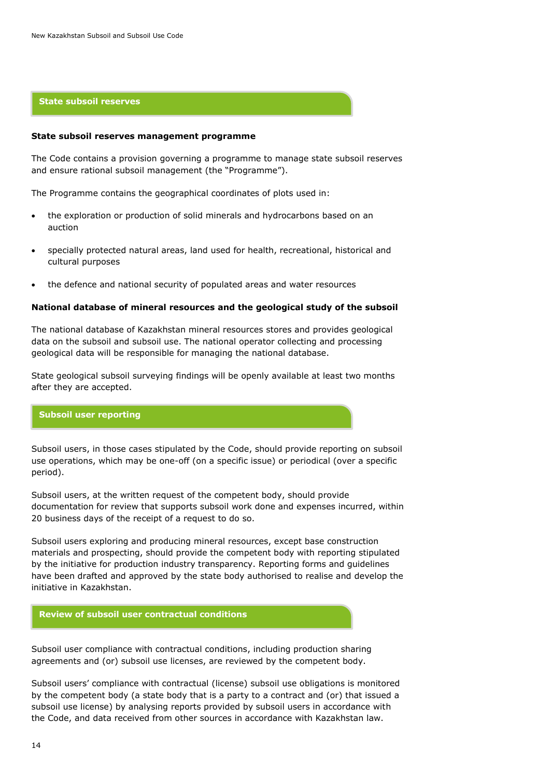#### **[State subsoil reserves](#page-13-0)**

#### <span id="page-13-0"></span>**State subsoil reserves management programme**

The Code contains a provision governing a programme to manage state subsoil reserves and ensure rational subsoil management (the "Programme").

The Programme contains the geographical coordinates of plots used in:

- the exploration or production of solid minerals and hydrocarbons based on an auction
- specially protected natural areas, land used for health, recreational, historical and cultural purposes
- the defence and national security of populated areas and water resources

#### **National database of mineral resources and the geological study of the subsoil**

The national database of Kazakhstan mineral resources stores and provides geological data on the subsoil and subsoil use. The national operator collecting and processing geological data will be responsible for managing the national database.

State geological subsoil surveying findings will be openly available at least two months after they are accepted.

#### **Subsoil user reporting**

Subsoil users, in those cases stipulated by the Code, should provide reporting on subsoil use operations, which may be one-off (on a specific issue) or periodical (over a specific period).

Subsoil users, at the written request of the competent body, should provide documentation for review that supports subsoil work done and expenses incurred, within 20 business days of the receipt of a request to do so.

Subsoil users exploring and producing mineral resources, except base construction materials and prospecting, should provide the competent body with reporting stipulated by the initiative for production industry transparency. Reporting forms and guidelines have been drafted and approved by the state body authorised to realise and develop the initiative in Kazakhstan.

#### **Review of subsoil user contractual conditions**

Subsoil user compliance with contractual conditions, including production sharing agreements and (or) subsoil use licenses, are reviewed by the competent body.

Subsoil users' compliance with contractual (license) subsoil use obligations is monitored by the competent body (a state body that is a party to a contract and (or) that issued a subsoil use license) by analysing reports provided by subsoil users in accordance with the Code, and data received from other sources in accordance with Kazakhstan law.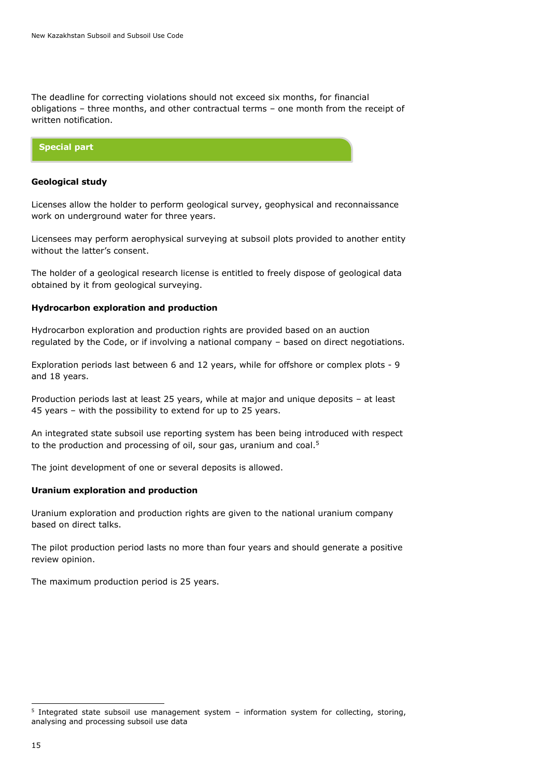The deadline for correcting violations should not exceed six months, for financial obligations – three months, and other contractual terms – one month from the receipt of written notification.



#### **Geological study**

Licenses allow the holder to perform geological survey, geophysical and reconnaissance work on underground water for three years.

Licensees may perform aerophysical surveying at subsoil plots provided to another entity without the latter's consent.

The holder of a geological research license is entitled to freely dispose of geological data obtained by it from geological surveying.

#### **Hydrocarbon exploration and production**

Hydrocarbon exploration and production rights are provided based on an auction regulated by the Code, or if involving a national company – based on direct negotiations.

Exploration periods last between 6 and 12 years, while for offshore or complex plots - 9 and 18 years.

Production periods last at least 25 years, while at major and unique deposits – at least 45 years – with the possibility to extend for up to 25 years.

An integrated state subsoil use reporting system has been being introduced with respect to the production and processing of oil, sour gas, uranium and coal.<sup>5</sup>

The joint development of one or several deposits is allowed.

#### **Uranium exploration and production**

Uranium exploration and production rights are given to the national uranium company based on direct talks.

The pilot production period lasts no more than four years and should generate a positive review opinion.

The maximum production period is 25 years.

 5 Integrated state subsoil use management system – information system for collecting, storing, analysing and processing subsoil use data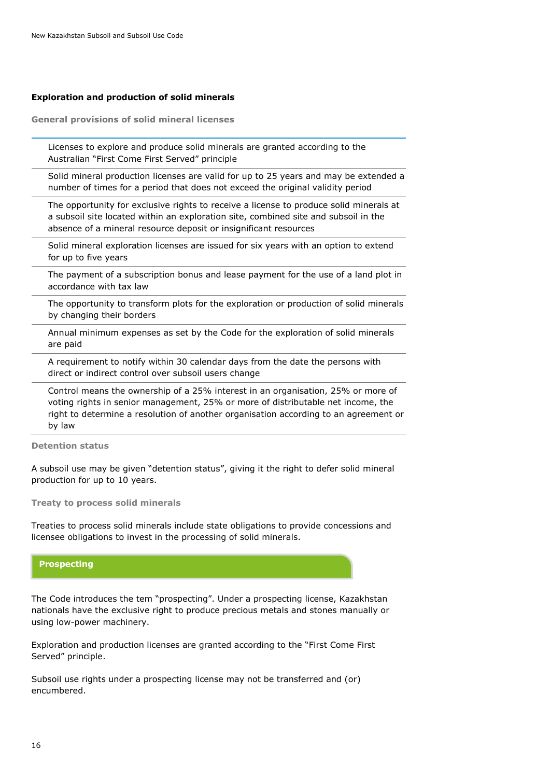#### **Exploration and production of solid minerals**

**General provisions of solid mineral licenses**

Licenses to explore and produce solid minerals are granted according to the Australian "First Come First Served" principle

Solid mineral production licenses are valid for up to 25 years and may be extended a number of times for a period that does not exceed the original validity period

The opportunity for exclusive rights to receive a license to produce solid minerals at a subsoil site located within an exploration site, combined site and subsoil in the absence of a mineral resource deposit or insignificant resources

Solid mineral exploration licenses are issued for six years with an option to extend for up to five years

The payment of a subscription bonus and lease payment for the use of a land plot in accordance with tax law

The opportunity to transform plots for the exploration or production of solid minerals by changing their borders

Annual minimum expenses as set by the Code for the exploration of solid minerals are paid

A requirement to notify within 30 calendar days from the date the persons with direct or indirect control over subsoil users change

Control means the ownership of a 25% interest in an organisation, 25% or more of voting rights in senior management, 25% or more of distributable net income, the right to determine a resolution of another organisation according to an agreement or by law

**Detention status**

A subsoil use may be given "detention status", giving it the right to defer solid mineral production for up to 10 years.

**Treaty to process solid minerals**

Treaties to process solid minerals include state obligations to provide concessions and licensee obligations to invest in the processing of solid minerals.

#### **Prospecting**

The Code introduces the tem "prospecting". Under a prospecting license, Kazakhstan nationals have the exclusive right to produce precious metals and stones manually or using low-power machinery.

Exploration and production licenses are granted according to the "First Come First Served" principle.

Subsoil use rights under a prospecting license may not be transferred and (or) encumbered.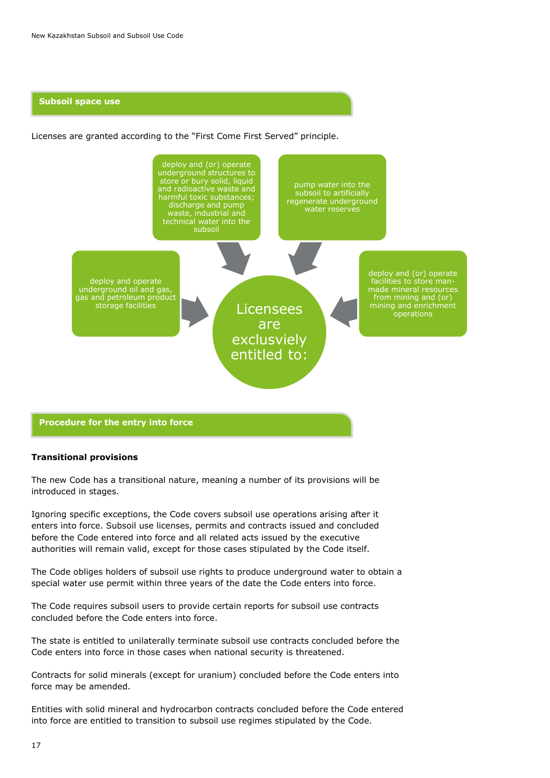#### **Subsoil space use**

Licenses are granted according to the "First Come First Served" principle.



#### **Procedure for the entry into force**

#### **Transitional provisions**

The new Code has a transitional nature, meaning a number of its provisions will be introduced in stages.

Ignoring specific exceptions, the Code covers subsoil use operations arising after it enters into force. Subsoil use licenses, permits and contracts issued and concluded before the Code entered into force and all related acts issued by the executive authorities will remain valid, except for those cases stipulated by the Code itself.

The Code obliges holders of subsoil use rights to produce underground water to obtain a special water use permit within three years of the date the Code enters into force.

The Code requires subsoil users to provide certain reports for subsoil use contracts concluded before the Code enters into force.

The state is entitled to unilaterally terminate subsoil use contracts concluded before the Code enters into force in those cases when national security is threatened.

Contracts for solid minerals (except for uranium) concluded before the Code enters into force may be amended.

Entities with solid mineral and hydrocarbon contracts concluded before the Code entered into force are entitled to transition to subsoil use regimes stipulated by the Code.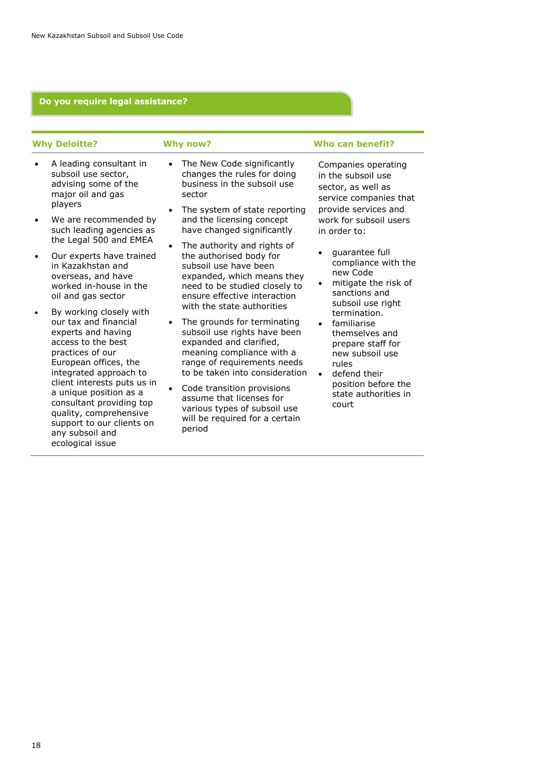### **Do you require legal assistance?**

| <b>Why Deloitte?</b>                                                                                                                                                                                                                                                                                                                                   | <b>Why now?</b>                                                                                                                                                                                                                                                                                                                                                                         | Who can benefit?                                                                                                                                     |
|--------------------------------------------------------------------------------------------------------------------------------------------------------------------------------------------------------------------------------------------------------------------------------------------------------------------------------------------------------|-----------------------------------------------------------------------------------------------------------------------------------------------------------------------------------------------------------------------------------------------------------------------------------------------------------------------------------------------------------------------------------------|------------------------------------------------------------------------------------------------------------------------------------------------------|
| A leading consultant in<br>$\bullet$<br>subsoil use sector,<br>advising some of the<br>major oil and gas<br>players                                                                                                                                                                                                                                    | The New Code significantly<br>$\bullet$<br>changes the rules for doing<br>business in the subsoil use<br>sector<br>The system of state reporting<br>$\bullet$                                                                                                                                                                                                                           | Companies operating<br>in the subsoil use<br>sector, as well as<br>service companies that<br>provide services and                                    |
| We are recommended by<br>such leading agencies as<br>the Legal 500 and EMEA                                                                                                                                                                                                                                                                            | and the licensing concept<br>have changed significantly                                                                                                                                                                                                                                                                                                                                 | work for subsoil users<br>in order to:                                                                                                               |
| Our experts have trained<br>٠<br>in Kazakhstan and<br>overseas, and have<br>worked in-house in the<br>oil and gas sector                                                                                                                                                                                                                               | The authority and rights of<br>the authorised body for<br>subsoil use have been<br>expanded, which means they<br>need to be studied closely to<br>ensure effective interaction                                                                                                                                                                                                          | guarantee full<br>compliance with the<br>new Code<br>mitigate the risk of<br>sanctions and<br>subsoil use right                                      |
| By working closely with<br>our tax and financial<br>experts and having<br>access to the best<br>practices of our<br>European offices, the<br>integrated approach to<br>client interests puts us in<br>a unique position as a<br>consultant providing top<br>quality, comprehensive<br>support to our clients on<br>any subsoil and<br>ecological issue | with the state authorities<br>The grounds for terminating<br>$\bullet$<br>subsoil use rights have been<br>expanded and clarified,<br>meaning compliance with a<br>range of requirements needs<br>rules<br>to be taken into consideration<br>Code transition provisions<br>assume that licenses for<br>court<br>various types of subsoil use<br>will be required for a certain<br>period | termination.<br>familiarise<br>themselves and<br>prepare staff for<br>new subsoil use<br>defend their<br>position before the<br>state authorities in |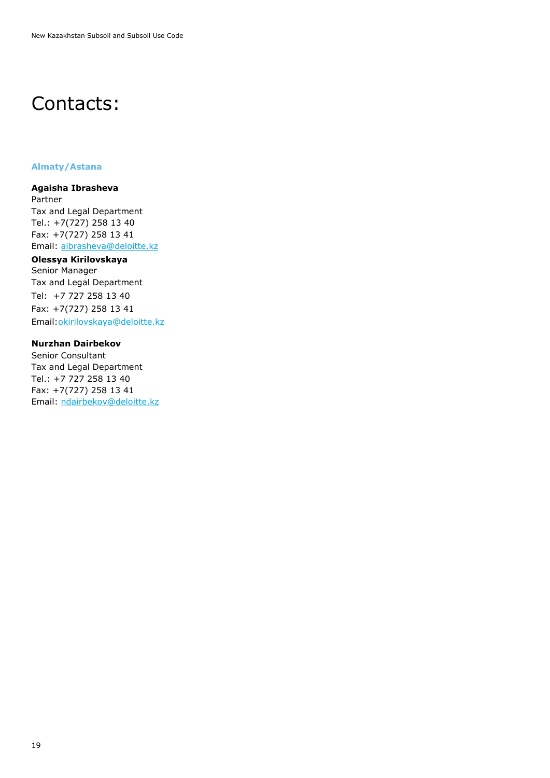# Contacts:

#### **Almaty/Astana**

**Agaisha Ibrasheva**

Partner Tax and Legal Department Tel.: +7(727) 258 13 40 Fax: +7(727) 258 13 41 Email: [aibrasheva@deloitte.kz](mailto:aibrasheva@deloitte.kz)

## **Olessya Kirilovskaya**

Senior Manager Tax and Legal Department Tel: +7 727 258 13 40 Fax: +7(727) 258 13 41 Email[:okirilovskaya@deloitte.kz](mailto:vkononenko@deloitte.kz)

#### **Nurzhan Dairbekov**

Senior Consultant Tax and Legal Department Tel.: +7 727 258 13 40 Fax: +7(727) 258 13 41 Email: ndairbekov@deloitte.kz